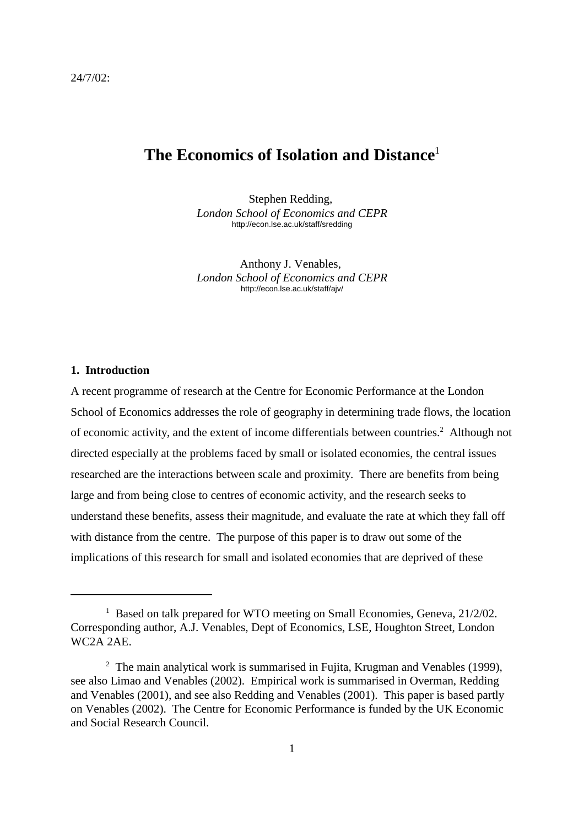# **The Economics of Isolation and Distance**<sup>1</sup>

Stephen Redding, *London School of Economics and CEPR* http://econ.lse.ac.uk/staff/sredding

Anthony J. Venables, *London School of Economics and CEPR* http://econ.lse.ac.uk/staff/ajv/

# **1. Introduction**

A recent programme of research at the Centre for Economic Performance at the London School of Economics addresses the role of geography in determining trade flows, the location of economic activity, and the extent of income differentials between countries.<sup>2</sup> Although not directed especially at the problems faced by small or isolated economies, the central issues researched are the interactions between scale and proximity. There are benefits from being large and from being close to centres of economic activity, and the research seeks to understand these benefits, assess their magnitude, and evaluate the rate at which they fall off with distance from the centre. The purpose of this paper is to draw out some of the implications of this research for small and isolated economies that are deprived of these

<sup>&</sup>lt;sup>1</sup> Based on talk prepared for WTO meeting on Small Economies, Geneva, 21/2/02. Corresponding author, A.J. Venables, Dept of Economics, LSE, Houghton Street, London WC2A 2AE.

<sup>&</sup>lt;sup>2</sup> The main analytical work is summarised in Fujita, Krugman and Venables (1999), see also Limao and Venables (2002). Empirical work is summarised in Overman, Redding and Venables (2001), and see also Redding and Venables (2001). This paper is based partly on Venables (2002). The Centre for Economic Performance is funded by the UK Economic and Social Research Council.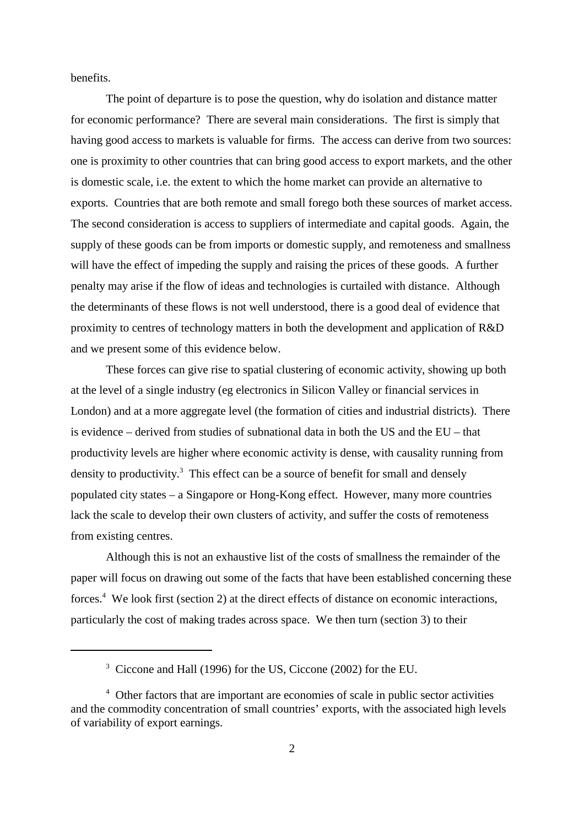benefits.

The point of departure is to pose the question, why do isolation and distance matter for economic performance? There are several main considerations. The first is simply that having good access to markets is valuable for firms. The access can derive from two sources: one is proximity to other countries that can bring good access to export markets, and the other is domestic scale, i.e. the extent to which the home market can provide an alternative to exports. Countries that are both remote and small forego both these sources of market access. The second consideration is access to suppliers of intermediate and capital goods. Again, the supply of these goods can be from imports or domestic supply, and remoteness and smallness will have the effect of impeding the supply and raising the prices of these goods. A further penalty may arise if the flow of ideas and technologies is curtailed with distance. Although the determinants of these flows is not well understood, there is a good deal of evidence that proximity to centres of technology matters in both the development and application of R&D and we present some of this evidence below.

These forces can give rise to spatial clustering of economic activity, showing up both at the level of a single industry (eg electronics in Silicon Valley or financial services in London) and at a more aggregate level (the formation of cities and industrial districts). There is evidence – derived from studies of subnational data in both the US and the EU – that productivity levels are higher where economic activity is dense, with causality running from density to productivity.<sup>3</sup> This effect can be a source of benefit for small and densely populated city states – a Singapore or Hong-Kong effect. However, many more countries lack the scale to develop their own clusters of activity, and suffer the costs of remoteness from existing centres.

Although this is not an exhaustive list of the costs of smallness the remainder of the paper will focus on drawing out some of the facts that have been established concerning these forces.<sup>4</sup> We look first (section 2) at the direct effects of distance on economic interactions, particularly the cost of making trades across space. We then turn (section 3) to their

<sup>&</sup>lt;sup>3</sup> Ciccone and Hall (1996) for the US, Ciccone (2002) for the EU.

<sup>&</sup>lt;sup>4</sup> Other factors that are important are economies of scale in public sector activities and the commodity concentration of small countries' exports, with the associated high levels of variability of export earnings.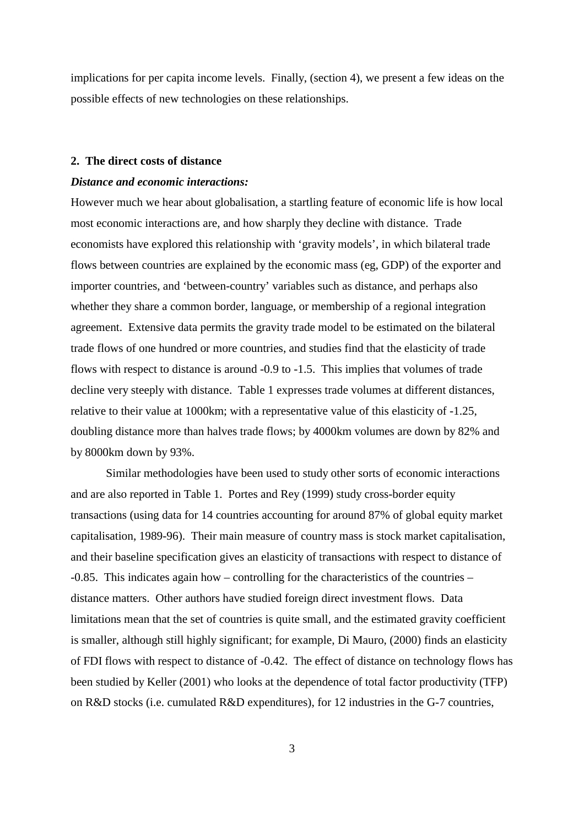implications for per capita income levels. Finally, (section 4), we present a few ideas on the possible effects of new technologies on these relationships.

# **2. The direct costs of distance**

#### *Distance and economic interactions:*

However much we hear about globalisation, a startling feature of economic life is how local most economic interactions are, and how sharply they decline with distance. Trade economists have explored this relationship with 'gravity models', in which bilateral trade flows between countries are explained by the economic mass (eg, GDP) of the exporter and importer countries, and 'between-country' variables such as distance, and perhaps also whether they share a common border, language, or membership of a regional integration agreement. Extensive data permits the gravity trade model to be estimated on the bilateral trade flows of one hundred or more countries, and studies find that the elasticity of trade flows with respect to distance is around -0.9 to -1.5. This implies that volumes of trade decline very steeply with distance. Table 1 expresses trade volumes at different distances, relative to their value at 1000km; with a representative value of this elasticity of -1.25, doubling distance more than halves trade flows; by 4000km volumes are down by 82% and by 8000km down by 93%.

Similar methodologies have been used to study other sorts of economic interactions and are also reported in Table 1. Portes and Rey (1999) study cross-border equity transactions (using data for 14 countries accounting for around 87% of global equity market capitalisation, 1989-96). Their main measure of country mass is stock market capitalisation, and their baseline specification gives an elasticity of transactions with respect to distance of -0.85. This indicates again how – controlling for the characteristics of the countries – distance matters. Other authors have studied foreign direct investment flows. Data limitations mean that the set of countries is quite small, and the estimated gravity coefficient is smaller, although still highly significant; for example, Di Mauro, (2000) finds an elasticity of FDI flows with respect to distance of -0.42. The effect of distance on technology flows has been studied by Keller (2001) who looks at the dependence of total factor productivity (TFP) on R&D stocks (i.e. cumulated R&D expenditures), for 12 industries in the G-7 countries,

3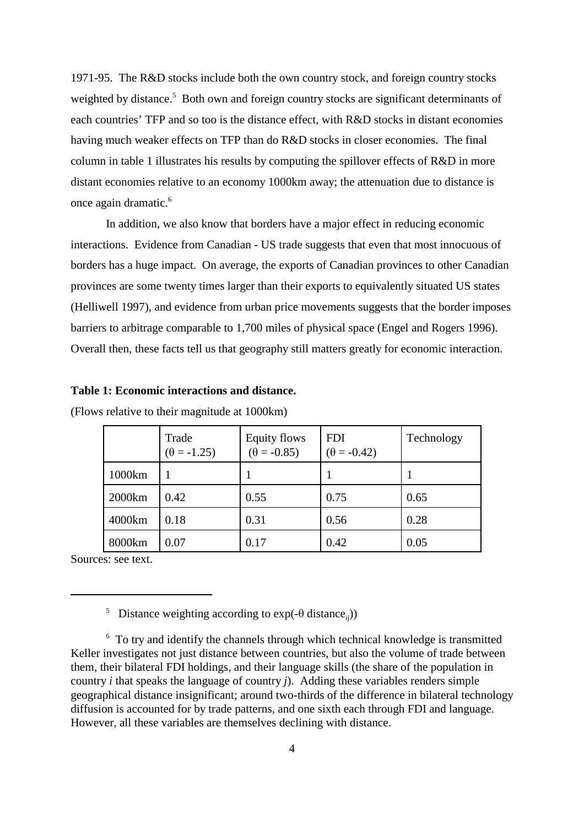1971-95. The R&D stocks include both the own country stock, and foreign country stocks weighted by distance.<sup>5</sup> Both own and foreign country stocks are significant determinants of each countries' TFP and so too is the distance effect, with R&D stocks in distant economies having much weaker effects on TFP than do R&D stocks in closer economies. The final column in table 1 illustrates his results by computing the spillover effects of R&D in more distant economies relative to an economy 1000km away; the attenuation due to distance is once again dramatic.<sup>6</sup>

In addition, we also know that borders have a major effect in reducing economic interactions. Evidence from Canadian - US trade suggests that even that most innocuous of borders has a huge impact. On average, the exports of Canadian provinces to other Canadian provinces are some twenty times larger than their exports to equivalently situated US states (Helliwell 1997), and evidence from urban price movements suggests that the border imposes barriers to arbitrage comparable to 1,700 miles of physical space (Engel and Rogers 1996). Overall then, these facts tell us that geography still matters greatly for economic interaction.

|        | Trade<br>$(\theta = -1.25)$ | <b>Equity flows</b><br>$(\theta = -0.85)$ | <b>FDI</b><br>$(\theta = -0.42)$ | Technology  |
|--------|-----------------------------|-------------------------------------------|----------------------------------|-------------|
| 1000km |                             |                                           |                                  | $\mathbf l$ |
| 2000km | 0.42                        | 0.55                                      | 0.75                             | 0.65        |
| 4000km | 0.18                        | 0.31                                      | 0.56                             | 0.28        |
| 8000km | 0.07                        | 0.17                                      | 0.42                             | 0.05        |

**Table 1: Economic interactions and distance.**

(Flows relative to their magnitude at 1000km)

Sources: see text.

<sup>5</sup> Distance weighting according to  $exp(-\theta \text{ distance}_{ij})$ )

<sup>&</sup>lt;sup>6</sup> To try and identify the channels through which technical knowledge is transmitted Keller investigates not just distance between countries, but also the volume of trade between them, their bilateral FDI holdings, and their language skills (the share of the population in country *i* that speaks the language of country *j*). Adding these variables renders simple geographical distance insignificant; around two-thirds of the difference in bilateral technology diffusion is accounted for by trade patterns, and one sixth each through FDI and language. However, all these variables are themselves declining with distance.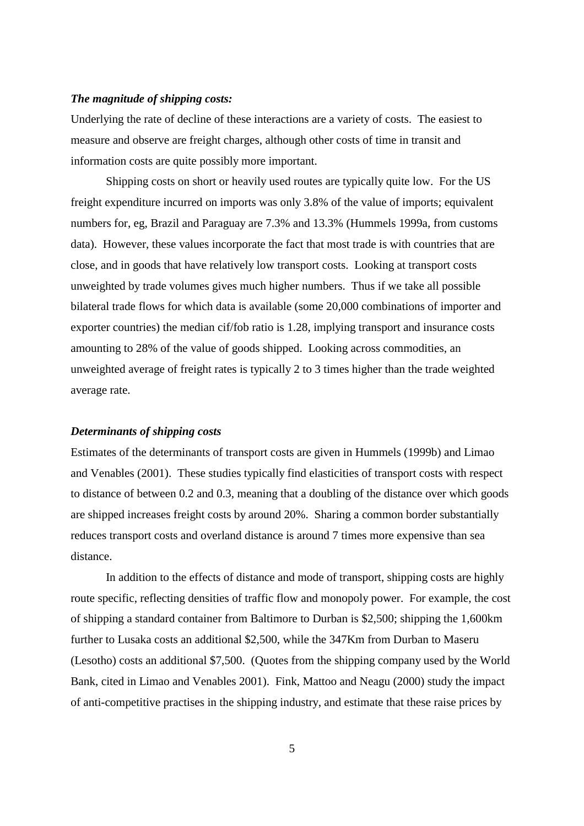#### *The magnitude of shipping costs:*

Underlying the rate of decline of these interactions are a variety of costs. The easiest to measure and observe are freight charges, although other costs of time in transit and information costs are quite possibly more important.

Shipping costs on short or heavily used routes are typically quite low. For the US freight expenditure incurred on imports was only 3.8% of the value of imports; equivalent numbers for, eg, Brazil and Paraguay are 7.3% and 13.3% (Hummels 1999a, from customs data). However, these values incorporate the fact that most trade is with countries that are close, and in goods that have relatively low transport costs. Looking at transport costs unweighted by trade volumes gives much higher numbers. Thus if we take all possible bilateral trade flows for which data is available (some 20,000 combinations of importer and exporter countries) the median cif/fob ratio is 1.28, implying transport and insurance costs amounting to 28% of the value of goods shipped. Looking across commodities, an unweighted average of freight rates is typically 2 to 3 times higher than the trade weighted average rate.

### *Determinants of shipping costs*

Estimates of the determinants of transport costs are given in Hummels (1999b) and Limao and Venables (2001). These studies typically find elasticities of transport costs with respect to distance of between 0.2 and 0.3, meaning that a doubling of the distance over which goods are shipped increases freight costs by around 20%. Sharing a common border substantially reduces transport costs and overland distance is around 7 times more expensive than sea distance.

In addition to the effects of distance and mode of transport, shipping costs are highly route specific, reflecting densities of traffic flow and monopoly power. For example, the cost of shipping a standard container from Baltimore to Durban is \$2,500; shipping the 1,600km further to Lusaka costs an additional \$2,500, while the 347Km from Durban to Maseru (Lesotho) costs an additional \$7,500. (Quotes from the shipping company used by the World Bank, cited in Limao and Venables 2001). Fink, Mattoo and Neagu (2000) study the impact of anti-competitive practises in the shipping industry, and estimate that these raise prices by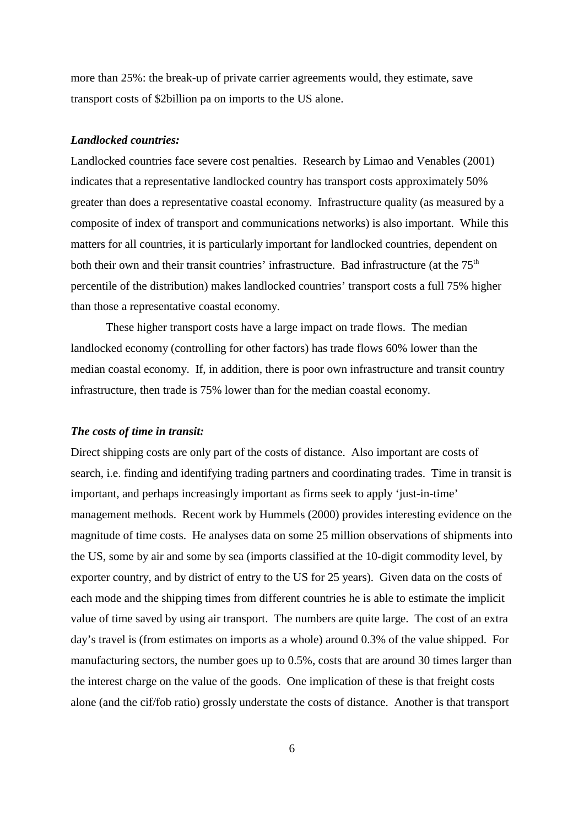more than 25%: the break-up of private carrier agreements would, they estimate, save transport costs of \$2billion pa on imports to the US alone.

#### *Landlocked countries:*

Landlocked countries face severe cost penalties. Research by Limao and Venables (2001) indicates that a representative landlocked country has transport costs approximately 50% greater than does a representative coastal economy. Infrastructure quality (as measured by a composite of index of transport and communications networks) is also important. While this matters for all countries, it is particularly important for landlocked countries, dependent on both their own and their transit countries' infrastructure. Bad infrastructure (at the  $75<sup>th</sup>$ percentile of the distribution) makes landlocked countries' transport costs a full 75% higher than those a representative coastal economy.

These higher transport costs have a large impact on trade flows. The median landlocked economy (controlling for other factors) has trade flows 60% lower than the median coastal economy. If, in addition, there is poor own infrastructure and transit country infrastructure, then trade is 75% lower than for the median coastal economy.

### *The costs of time in transit:*

Direct shipping costs are only part of the costs of distance. Also important are costs of search, i.e. finding and identifying trading partners and coordinating trades. Time in transit is important, and perhaps increasingly important as firms seek to apply 'just-in-time' management methods. Recent work by Hummels (2000) provides interesting evidence on the magnitude of time costs. He analyses data on some 25 million observations of shipments into the US, some by air and some by sea (imports classified at the 10-digit commodity level, by exporter country, and by district of entry to the US for 25 years). Given data on the costs of each mode and the shipping times from different countries he is able to estimate the implicit value of time saved by using air transport. The numbers are quite large. The cost of an extra day's travel is (from estimates on imports as a whole) around 0.3% of the value shipped. For manufacturing sectors, the number goes up to 0.5%, costs that are around 30 times larger than the interest charge on the value of the goods. One implication of these is that freight costs alone (and the cif/fob ratio) grossly understate the costs of distance. Another is that transport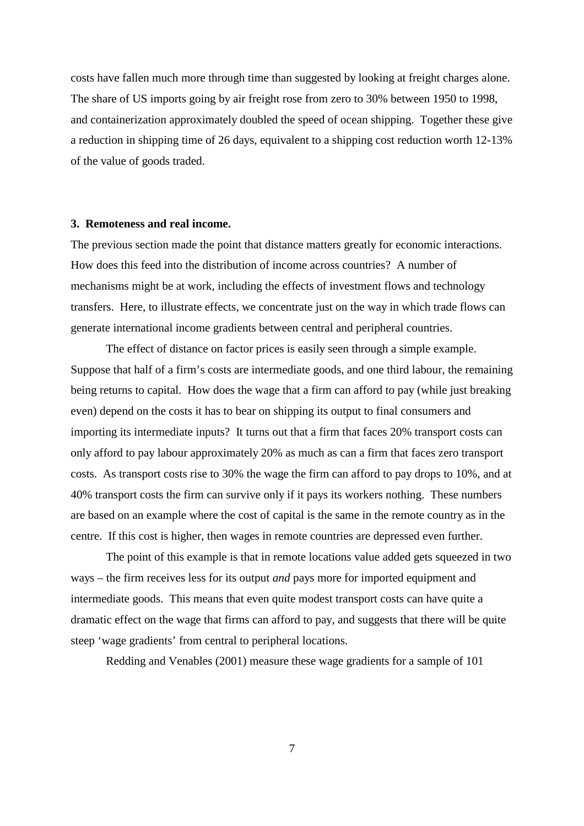costs have fallen much more through time than suggested by looking at freight charges alone. The share of US imports going by air freight rose from zero to 30% between 1950 to 1998, and containerization approximately doubled the speed of ocean shipping. Together these give a reduction in shipping time of 26 days, equivalent to a shipping cost reduction worth 12-13% of the value of goods traded.

### **3. Remoteness and real income.**

The previous section made the point that distance matters greatly for economic interactions. How does this feed into the distribution of income across countries? A number of mechanisms might be at work, including the effects of investment flows and technology transfers. Here, to illustrate effects, we concentrate just on the way in which trade flows can generate international income gradients between central and peripheral countries.

The effect of distance on factor prices is easily seen through a simple example. Suppose that half of a firm's costs are intermediate goods, and one third labour, the remaining being returns to capital. How does the wage that a firm can afford to pay (while just breaking even) depend on the costs it has to bear on shipping its output to final consumers and importing its intermediate inputs? It turns out that a firm that faces 20% transport costs can only afford to pay labour approximately 20% as much as can a firm that faces zero transport costs. As transport costs rise to 30% the wage the firm can afford to pay drops to 10%, and at 40% transport costs the firm can survive only if it pays its workers nothing. These numbers are based on an example where the cost of capital is the same in the remote country as in the centre. If this cost is higher, then wages in remote countries are depressed even further.

The point of this example is that in remote locations value added gets squeezed in two ways – the firm receives less for its output *and* pays more for imported equipment and intermediate goods. This means that even quite modest transport costs can have quite a dramatic effect on the wage that firms can afford to pay, and suggests that there will be quite steep 'wage gradients' from central to peripheral locations.

Redding and Venables (2001) measure these wage gradients for a sample of 101

7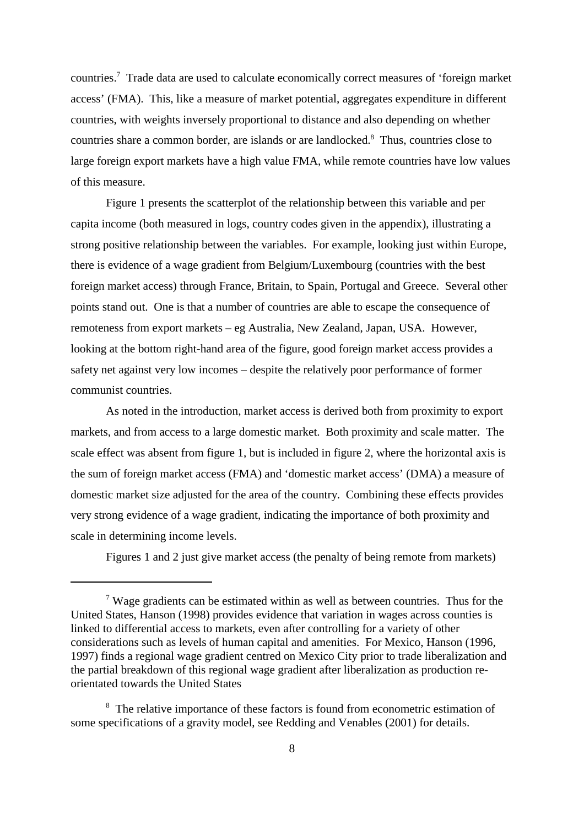countries.7 Trade data are used to calculate economically correct measures of 'foreign market access' (FMA). This, like a measure of market potential, aggregates expenditure in different countries, with weights inversely proportional to distance and also depending on whether countries share a common border, are islands or are landlocked.<sup>8</sup> Thus, countries close to large foreign export markets have a high value FMA, while remote countries have low values of this measure.

Figure 1 presents the scatterplot of the relationship between this variable and per capita income (both measured in logs, country codes given in the appendix), illustrating a strong positive relationship between the variables. For example, looking just within Europe, there is evidence of a wage gradient from Belgium/Luxembourg (countries with the best foreign market access) through France, Britain, to Spain, Portugal and Greece. Several other points stand out. One is that a number of countries are able to escape the consequence of remoteness from export markets – eg Australia, New Zealand, Japan, USA. However, looking at the bottom right-hand area of the figure, good foreign market access provides a safety net against very low incomes – despite the relatively poor performance of former communist countries.

As noted in the introduction, market access is derived both from proximity to export markets, and from access to a large domestic market. Both proximity and scale matter. The scale effect was absent from figure 1, but is included in figure 2, where the horizontal axis is the sum of foreign market access (FMA) and 'domestic market access' (DMA) a measure of domestic market size adjusted for the area of the country. Combining these effects provides very strong evidence of a wage gradient, indicating the importance of both proximity and scale in determining income levels.

Figures 1 and 2 just give market access (the penalty of being remote from markets)

<sup>&</sup>lt;sup>7</sup> Wage gradients can be estimated within as well as between countries. Thus for the United States, Hanson (1998) provides evidence that variation in wages across counties is linked to differential access to markets, even after controlling for a variety of other considerations such as levels of human capital and amenities. For Mexico, Hanson (1996, 1997) finds a regional wage gradient centred on Mexico City prior to trade liberalization and the partial breakdown of this regional wage gradient after liberalization as production reorientated towards the United States

<sup>&</sup>lt;sup>8</sup> The relative importance of these factors is found from econometric estimation of some specifications of a gravity model, see Redding and Venables (2001) for details.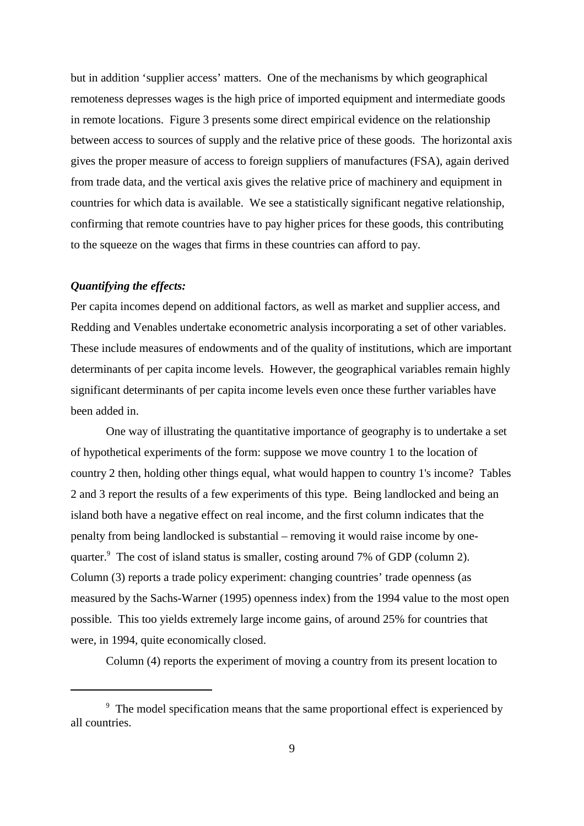but in addition 'supplier access' matters. One of the mechanisms by which geographical remoteness depresses wages is the high price of imported equipment and intermediate goods in remote locations. Figure 3 presents some direct empirical evidence on the relationship between access to sources of supply and the relative price of these goods. The horizontal axis gives the proper measure of access to foreign suppliers of manufactures (FSA), again derived from trade data, and the vertical axis gives the relative price of machinery and equipment in countries for which data is available. We see a statistically significant negative relationship, confirming that remote countries have to pay higher prices for these goods, this contributing to the squeeze on the wages that firms in these countries can afford to pay.

### *Quantifying the effects:*

Per capita incomes depend on additional factors, as well as market and supplier access, and Redding and Venables undertake econometric analysis incorporating a set of other variables. These include measures of endowments and of the quality of institutions, which are important determinants of per capita income levels. However, the geographical variables remain highly significant determinants of per capita income levels even once these further variables have been added in.

One way of illustrating the quantitative importance of geography is to undertake a set of hypothetical experiments of the form: suppose we move country 1 to the location of country 2 then, holding other things equal, what would happen to country 1's income? Tables 2 and 3 report the results of a few experiments of this type. Being landlocked and being an island both have a negative effect on real income, and the first column indicates that the penalty from being landlocked is substantial – removing it would raise income by onequarter.<sup>9</sup> The cost of island status is smaller, costing around 7% of GDP (column 2). Column (3) reports a trade policy experiment: changing countries' trade openness (as measured by the Sachs-Warner (1995) openness index) from the 1994 value to the most open possible. This too yields extremely large income gains, of around 25% for countries that were, in 1994, quite economically closed.

Column (4) reports the experiment of moving a country from its present location to

<sup>&</sup>lt;sup>9</sup> The model specification means that the same proportional effect is experienced by all countries.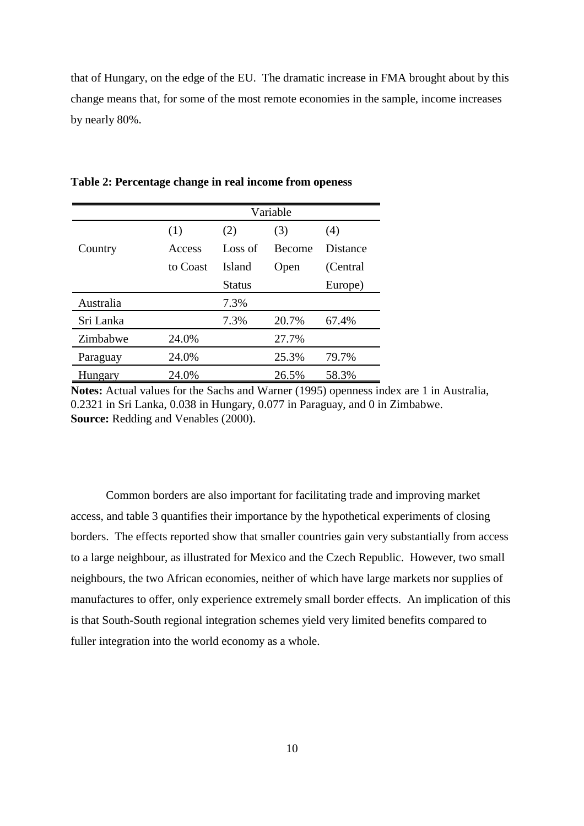that of Hungary, on the edge of the EU. The dramatic increase in FMA brought about by this change means that, for some of the most remote economies in the sample, income increases by nearly 80%.

|           | Variable |               |               |           |
|-----------|----------|---------------|---------------|-----------|
|           | (1)      | (2)           | (3)           | (4)       |
| Country   | Access   | Loss of       | <b>Become</b> | Distance  |
|           | to Coast | Island        | Open          | (Central) |
|           |          | <b>Status</b> |               | Europe)   |
| Australia |          | 7.3%          |               |           |
| Sri Lanka |          | 7.3%          | 20.7%         | 67.4%     |
| Zimbabwe  | 24.0%    |               | 27.7%         |           |
| Paraguay  | 24.0%    |               | 25.3%         | 79.7%     |
| Hungary   | 24.0%    |               | 26.5%         | 58.3%     |

**Table 2: Percentage change in real income from openess**

**Notes:** Actual values for the Sachs and Warner (1995) openness index are 1 in Australia, 0.2321 in Sri Lanka, 0.038 in Hungary, 0.077 in Paraguay, and 0 in Zimbabwe. **Source:** Redding and Venables (2000).

Common borders are also important for facilitating trade and improving market access, and table 3 quantifies their importance by the hypothetical experiments of closing borders. The effects reported show that smaller countries gain very substantially from access to a large neighbour, as illustrated for Mexico and the Czech Republic. However, two small neighbours, the two African economies, neither of which have large markets nor supplies of manufactures to offer, only experience extremely small border effects. An implication of this is that South-South regional integration schemes yield very limited benefits compared to fuller integration into the world economy as a whole.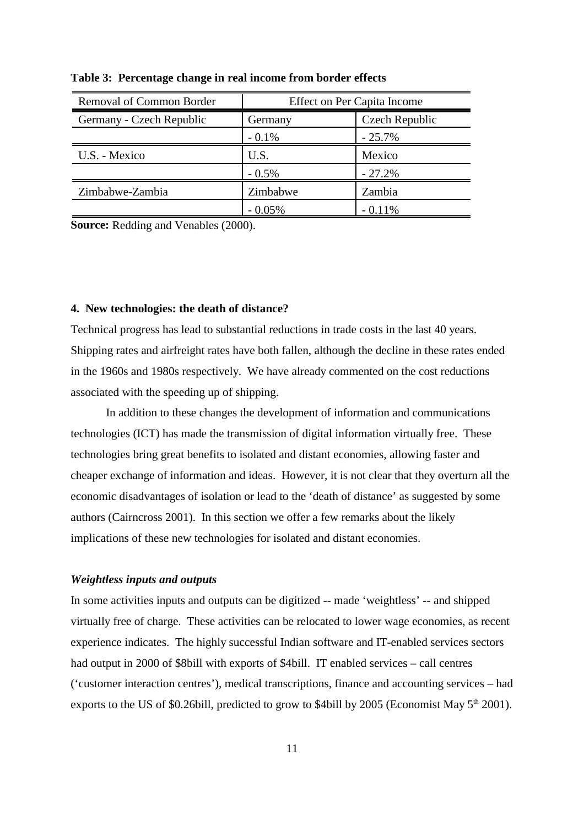| <b>Removal of Common Border</b> | <b>Effect on Per Capita Income</b> |                |  |
|---------------------------------|------------------------------------|----------------|--|
| Germany - Czech Republic        | Germany                            | Czech Republic |  |
|                                 | $-0.1\%$                           | $-25.7\%$      |  |
| U.S. - Mexico                   | U.S.                               | Mexico         |  |
|                                 | $-0.5%$                            | $-27.2%$       |  |
| Zimbabwe-Zambia                 | Zimbabwe                           | Zambia         |  |
|                                 | $-0.05%$                           | $-0.11%$       |  |

**Table 3: Percentage change in real income from border effects**

**Source:** Redding and Venables (2000).

### **4. New technologies: the death of distance?**

Technical progress has lead to substantial reductions in trade costs in the last 40 years. Shipping rates and airfreight rates have both fallen, although the decline in these rates ended in the 1960s and 1980s respectively. We have already commented on the cost reductions associated with the speeding up of shipping.

In addition to these changes the development of information and communications technologies (ICT) has made the transmission of digital information virtually free. These technologies bring great benefits to isolated and distant economies, allowing faster and cheaper exchange of information and ideas. However, it is not clear that they overturn all the economic disadvantages of isolation or lead to the 'death of distance' as suggested by some authors (Cairncross 2001). In this section we offer a few remarks about the likely implications of these new technologies for isolated and distant economies.

## *Weightless inputs and outputs*

In some activities inputs and outputs can be digitized -- made 'weightless' -- and shipped virtually free of charge. These activities can be relocated to lower wage economies, as recent experience indicates. The highly successful Indian software and IT-enabled services sectors had output in 2000 of \$8bill with exports of \$4bill. IT enabled services – call centres ('customer interaction centres'), medical transcriptions, finance and accounting services – had exports to the US of \$0.26bill, predicted to grow to \$4bill by 2005 (Economist May  $5<sup>th</sup>$  2001).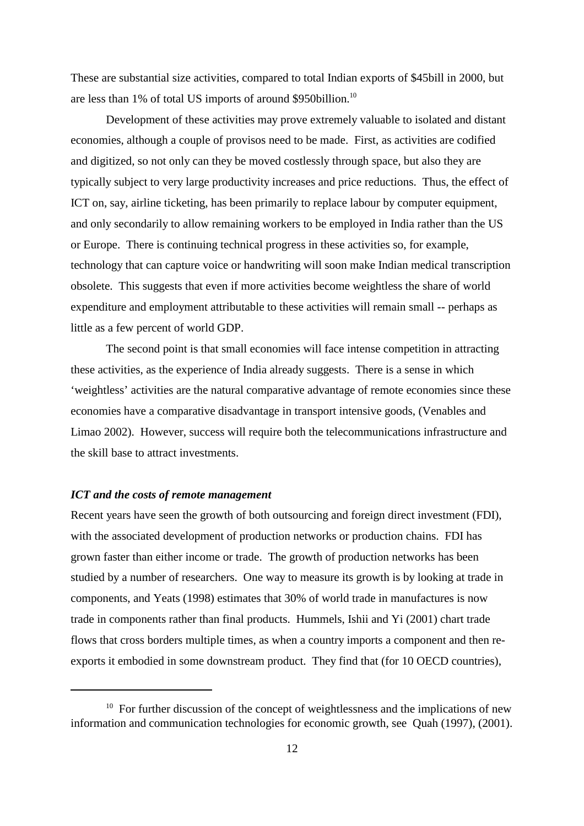These are substantial size activities, compared to total Indian exports of \$45bill in 2000, but are less than 1% of total US imports of around \$950billion.10

Development of these activities may prove extremely valuable to isolated and distant economies, although a couple of provisos need to be made. First, as activities are codified and digitized, so not only can they be moved costlessly through space, but also they are typically subject to very large productivity increases and price reductions. Thus, the effect of ICT on, say, airline ticketing, has been primarily to replace labour by computer equipment, and only secondarily to allow remaining workers to be employed in India rather than the US or Europe. There is continuing technical progress in these activities so, for example, technology that can capture voice or handwriting will soon make Indian medical transcription obsolete. This suggests that even if more activities become weightless the share of world expenditure and employment attributable to these activities will remain small -- perhaps as little as a few percent of world GDP.

The second point is that small economies will face intense competition in attracting these activities, as the experience of India already suggests. There is a sense in which 'weightless' activities are the natural comparative advantage of remote economies since these economies have a comparative disadvantage in transport intensive goods, (Venables and Limao 2002). However, success will require both the telecommunications infrastructure and the skill base to attract investments.

## *ICT and the costs of remote management*

Recent years have seen the growth of both outsourcing and foreign direct investment (FDI), with the associated development of production networks or production chains. FDI has grown faster than either income or trade. The growth of production networks has been studied by a number of researchers. One way to measure its growth is by looking at trade in components, and Yeats (1998) estimates that 30% of world trade in manufactures is now trade in components rather than final products. Hummels, Ishii and Yi (2001) chart trade flows that cross borders multiple times, as when a country imports a component and then reexports it embodied in some downstream product. They find that (for 10 OECD countries),

 $10$  For further discussion of the concept of weightlessness and the implications of new information and communication technologies for economic growth, see Quah (1997), (2001).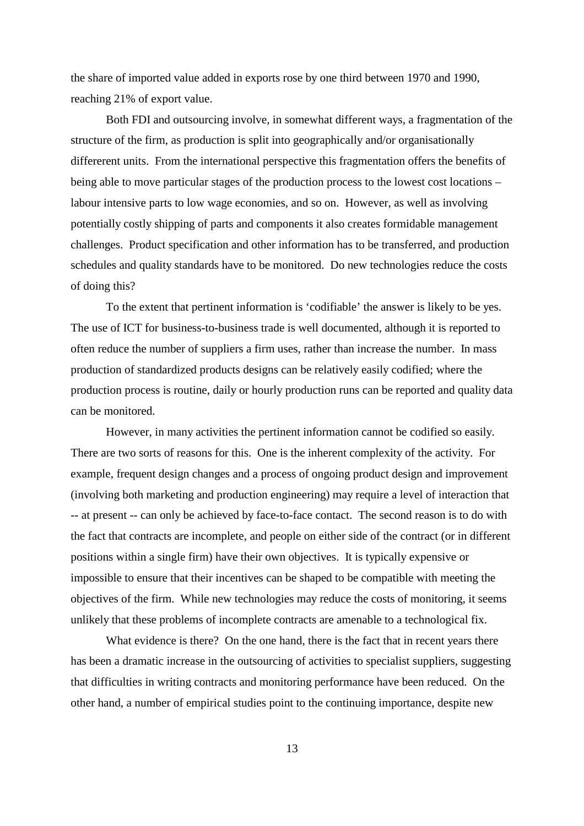the share of imported value added in exports rose by one third between 1970 and 1990, reaching 21% of export value.

Both FDI and outsourcing involve, in somewhat different ways, a fragmentation of the structure of the firm, as production is split into geographically and/or organisationally differerent units. From the international perspective this fragmentation offers the benefits of being able to move particular stages of the production process to the lowest cost locations – labour intensive parts to low wage economies, and so on. However, as well as involving potentially costly shipping of parts and components it also creates formidable management challenges. Product specification and other information has to be transferred, and production schedules and quality standards have to be monitored. Do new technologies reduce the costs of doing this?

To the extent that pertinent information is 'codifiable' the answer is likely to be yes. The use of ICT for business-to-business trade is well documented, although it is reported to often reduce the number of suppliers a firm uses, rather than increase the number. In mass production of standardized products designs can be relatively easily codified; where the production process is routine, daily or hourly production runs can be reported and quality data can be monitored.

However, in many activities the pertinent information cannot be codified so easily. There are two sorts of reasons for this. One is the inherent complexity of the activity. For example, frequent design changes and a process of ongoing product design and improvement (involving both marketing and production engineering) may require a level of interaction that -- at present -- can only be achieved by face-to-face contact. The second reason is to do with the fact that contracts are incomplete, and people on either side of the contract (or in different positions within a single firm) have their own objectives. It is typically expensive or impossible to ensure that their incentives can be shaped to be compatible with meeting the objectives of the firm. While new technologies may reduce the costs of monitoring, it seems unlikely that these problems of incomplete contracts are amenable to a technological fix.

What evidence is there? On the one hand, there is the fact that in recent years there has been a dramatic increase in the outsourcing of activities to specialist suppliers, suggesting that difficulties in writing contracts and monitoring performance have been reduced. On the other hand, a number of empirical studies point to the continuing importance, despite new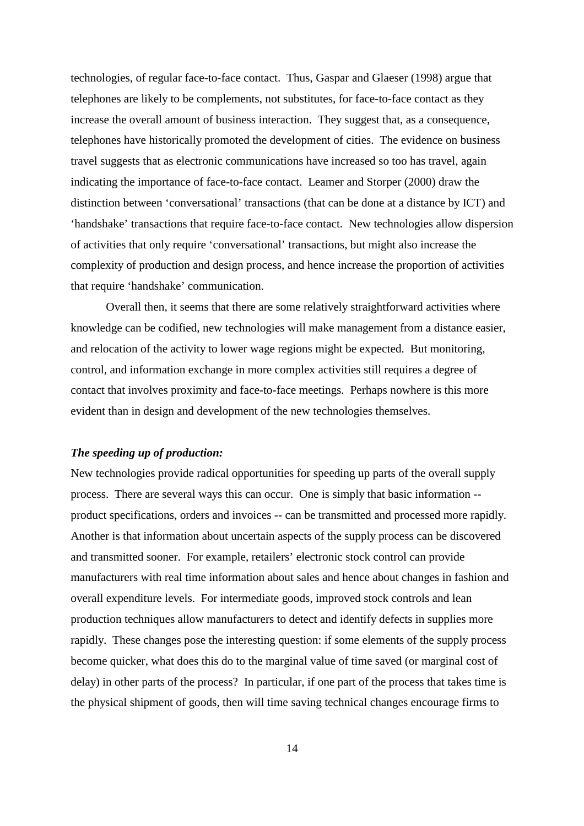technologies, of regular face-to-face contact. Thus, Gaspar and Glaeser (1998) argue that telephones are likely to be complements, not substitutes, for face-to-face contact as they increase the overall amount of business interaction. They suggest that, as a consequence, telephones have historically promoted the development of cities. The evidence on business travel suggests that as electronic communications have increased so too has travel, again indicating the importance of face-to-face contact. Leamer and Storper (2000) draw the distinction between 'conversational' transactions (that can be done at a distance by ICT) and 'handshake' transactions that require face-to-face contact. New technologies allow dispersion of activities that only require 'conversational' transactions, but might also increase the complexity of production and design process, and hence increase the proportion of activities that require 'handshake' communication.

Overall then, it seems that there are some relatively straightforward activities where knowledge can be codified, new technologies will make management from a distance easier, and relocation of the activity to lower wage regions might be expected. But monitoring, control, and information exchange in more complex activities still requires a degree of contact that involves proximity and face-to-face meetings. Perhaps nowhere is this more evident than in design and development of the new technologies themselves.

### *The speeding up of production:*

New technologies provide radical opportunities for speeding up parts of the overall supply process. There are several ways this can occur. One is simply that basic information - product specifications, orders and invoices -- can be transmitted and processed more rapidly. Another is that information about uncertain aspects of the supply process can be discovered and transmitted sooner. For example, retailers' electronic stock control can provide manufacturers with real time information about sales and hence about changes in fashion and overall expenditure levels. For intermediate goods, improved stock controls and lean production techniques allow manufacturers to detect and identify defects in supplies more rapidly. These changes pose the interesting question: if some elements of the supply process become quicker, what does this do to the marginal value of time saved (or marginal cost of delay) in other parts of the process? In particular, if one part of the process that takes time is the physical shipment of goods, then will time saving technical changes encourage firms to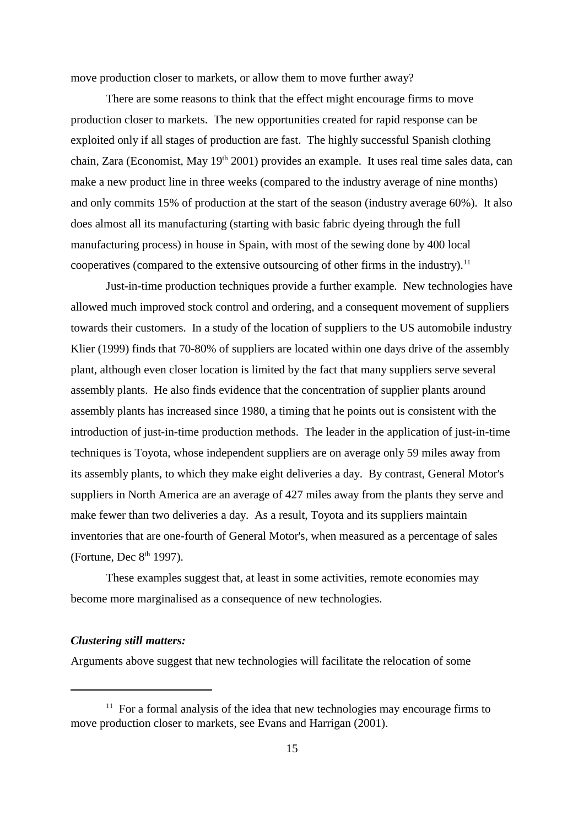move production closer to markets, or allow them to move further away?

There are some reasons to think that the effect might encourage firms to move production closer to markets. The new opportunities created for rapid response can be exploited only if all stages of production are fast. The highly successful Spanish clothing chain, Zara (Economist, May  $19<sup>th</sup> 2001$ ) provides an example. It uses real time sales data, can make a new product line in three weeks (compared to the industry average of nine months) and only commits 15% of production at the start of the season (industry average 60%). It also does almost all its manufacturing (starting with basic fabric dyeing through the full manufacturing process) in house in Spain, with most of the sewing done by 400 local cooperatives (compared to the extensive outsourcing of other firms in the industry).<sup>11</sup>

Just-in-time production techniques provide a further example. New technologies have allowed much improved stock control and ordering, and a consequent movement of suppliers towards their customers. In a study of the location of suppliers to the US automobile industry Klier (1999) finds that 70-80% of suppliers are located within one days drive of the assembly plant, although even closer location is limited by the fact that many suppliers serve several assembly plants. He also finds evidence that the concentration of supplier plants around assembly plants has increased since 1980, a timing that he points out is consistent with the introduction of just-in-time production methods. The leader in the application of just-in-time techniques is Toyota, whose independent suppliers are on average only 59 miles away from its assembly plants, to which they make eight deliveries a day. By contrast, General Motor's suppliers in North America are an average of 427 miles away from the plants they serve and make fewer than two deliveries a day. As a result, Toyota and its suppliers maintain inventories that are one-fourth of General Motor's, when measured as a percentage of sales (Fortune, Dec  $8<sup>th</sup>$  1997).

These examples suggest that, at least in some activities, remote economies may become more marginalised as a consequence of new technologies.

# *Clustering still matters:*

Arguments above suggest that new technologies will facilitate the relocation of some

 $11$  For a formal analysis of the idea that new technologies may encourage firms to move production closer to markets, see Evans and Harrigan (2001).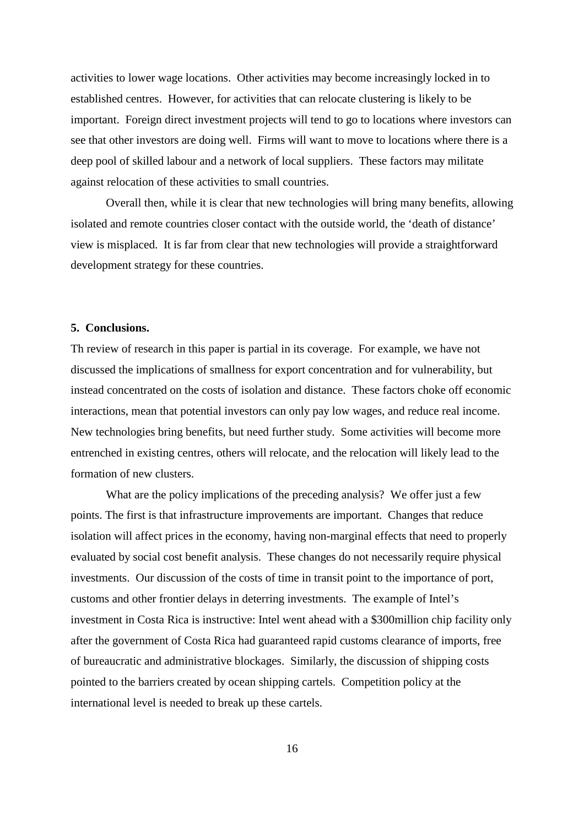activities to lower wage locations. Other activities may become increasingly locked in to established centres. However, for activities that can relocate clustering is likely to be important. Foreign direct investment projects will tend to go to locations where investors can see that other investors are doing well. Firms will want to move to locations where there is a deep pool of skilled labour and a network of local suppliers. These factors may militate against relocation of these activities to small countries.

Overall then, while it is clear that new technologies will bring many benefits, allowing isolated and remote countries closer contact with the outside world, the 'death of distance' view is misplaced. It is far from clear that new technologies will provide a straightforward development strategy for these countries.

#### **5. Conclusions.**

Th review of research in this paper is partial in its coverage. For example, we have not discussed the implications of smallness for export concentration and for vulnerability, but instead concentrated on the costs of isolation and distance. These factors choke off economic interactions, mean that potential investors can only pay low wages, and reduce real income. New technologies bring benefits, but need further study. Some activities will become more entrenched in existing centres, others will relocate, and the relocation will likely lead to the formation of new clusters.

What are the policy implications of the preceding analysis? We offer just a few points. The first is that infrastructure improvements are important. Changes that reduce isolation will affect prices in the economy, having non-marginal effects that need to properly evaluated by social cost benefit analysis. These changes do not necessarily require physical investments. Our discussion of the costs of time in transit point to the importance of port, customs and other frontier delays in deterring investments. The example of Intel's investment in Costa Rica is instructive: Intel went ahead with a \$300million chip facility only after the government of Costa Rica had guaranteed rapid customs clearance of imports, free of bureaucratic and administrative blockages. Similarly, the discussion of shipping costs pointed to the barriers created by ocean shipping cartels. Competition policy at the international level is needed to break up these cartels.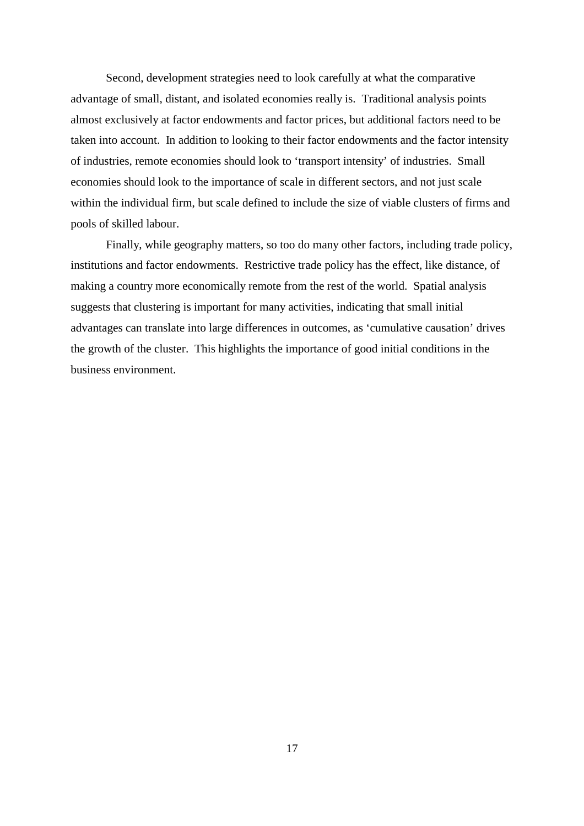Second, development strategies need to look carefully at what the comparative advantage of small, distant, and isolated economies really is. Traditional analysis points almost exclusively at factor endowments and factor prices, but additional factors need to be taken into account. In addition to looking to their factor endowments and the factor intensity of industries, remote economies should look to 'transport intensity' of industries. Small economies should look to the importance of scale in different sectors, and not just scale within the individual firm, but scale defined to include the size of viable clusters of firms and pools of skilled labour.

Finally, while geography matters, so too do many other factors, including trade policy, institutions and factor endowments. Restrictive trade policy has the effect, like distance, of making a country more economically remote from the rest of the world. Spatial analysis suggests that clustering is important for many activities, indicating that small initial advantages can translate into large differences in outcomes, as 'cumulative causation' drives the growth of the cluster. This highlights the importance of good initial conditions in the business environment.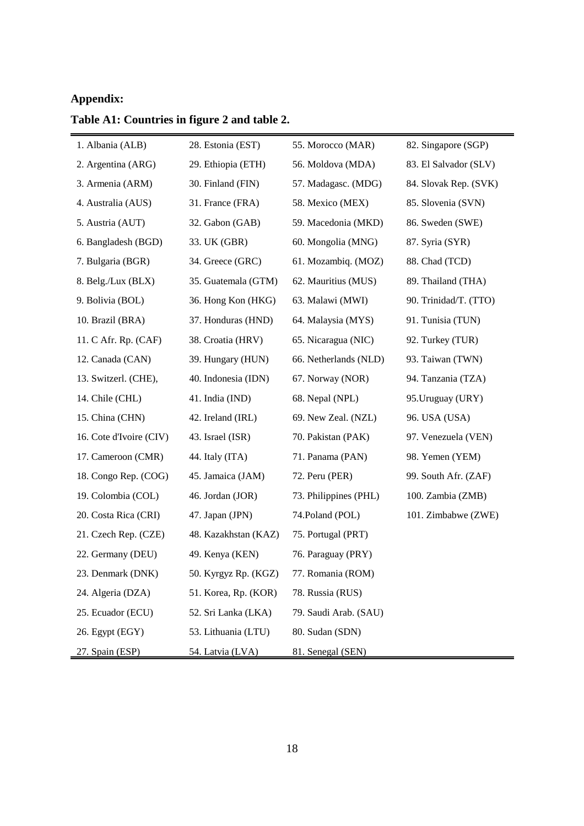# **Appendix:**

| 1. Albania (ALB)        | 28. Estonia (EST)    | 55. Morocco (MAR)     | 82. Singapore (SGP)   |
|-------------------------|----------------------|-----------------------|-----------------------|
| 2. Argentina (ARG)      | 29. Ethiopia (ETH)   | 56. Moldova (MDA)     | 83. El Salvador (SLV) |
| 3. Armenia (ARM)        | 30. Finland (FIN)    | 57. Madagasc. (MDG)   | 84. Slovak Rep. (SVK) |
| 4. Australia (AUS)      | 31. France (FRA)     | 58. Mexico (MEX)      | 85. Slovenia (SVN)    |
| 5. Austria (AUT)        | 32. Gabon (GAB)      | 59. Macedonia (MKD)   | 86. Sweden (SWE)      |
| 6. Bangladesh (BGD)     | 33. UK (GBR)         | 60. Mongolia (MNG)    | 87. Syria (SYR)       |
| 7. Bulgaria (BGR)       | 34. Greece (GRC)     | 61. Mozambiq. (MOZ)   | 88. Chad (TCD)        |
| 8. Belg./Lux (BLX)      | 35. Guatemala (GTM)  | 62. Mauritius (MUS)   | 89. Thailand (THA)    |
| 9. Bolivia (BOL)        | 36. Hong Kon (HKG)   | 63. Malawi (MWI)      | 90. Trinidad/T. (TTO) |
| 10. Brazil (BRA)        | 37. Honduras (HND)   | 64. Malaysia (MYS)    | 91. Tunisia (TUN)     |
| 11. C Afr. Rp. (CAF)    | 38. Croatia (HRV)    | 65. Nicaragua (NIC)   | 92. Turkey (TUR)      |
| 12. Canada (CAN)        | 39. Hungary (HUN)    | 66. Netherlands (NLD) | 93. Taiwan (TWN)      |
| 13. Switzerl. (CHE),    | 40. Indonesia (IDN)  | 67. Norway (NOR)      | 94. Tanzania (TZA)    |
| 14. Chile (CHL)         | 41. India (IND)      | 68. Nepal (NPL)       | 95. Uruguay (URY)     |
| 15. China (CHN)         | 42. Ireland (IRL)    | 69. New Zeal. (NZL)   | 96. USA (USA)         |
| 16. Cote d'Ivoire (CIV) | 43. Israel (ISR)     | 70. Pakistan (PAK)    | 97. Venezuela (VEN)   |
| 17. Cameroon (CMR)      | 44. Italy (ITA)      | 71. Panama (PAN)      | 98. Yemen (YEM)       |
| 18. Congo Rep. (COG)    | 45. Jamaica (JAM)    | 72. Peru (PER)        | 99. South Afr. (ZAF)  |
| 19. Colombia (COL)      | 46. Jordan (JOR)     | 73. Philippines (PHL) | 100. Zambia (ZMB)     |
| 20. Costa Rica (CRI)    | 47. Japan (JPN)      | 74. Poland (POL)      | 101. Zimbabwe (ZWE)   |
| 21. Czech Rep. (CZE)    | 48. Kazakhstan (KAZ) | 75. Portugal (PRT)    |                       |
| 22. Germany (DEU)       | 49. Kenya (KEN)      | 76. Paraguay (PRY)    |                       |
| 23. Denmark (DNK)       | 50. Kyrgyz Rp. (KGZ) | 77. Romania (ROM)     |                       |
| 24. Algeria (DZA)       | 51. Korea, Rp. (KOR) | 78. Russia (RUS)      |                       |
| 25. Ecuador (ECU)       | 52. Sri Lanka (LKA)  | 79. Saudi Arab. (SAU) |                       |
| 26. Egypt (EGY)         | 53. Lithuania (LTU)  | 80. Sudan (SDN)       |                       |
| 27. Spain (ESP)         | 54. Latvia (LVA)     | 81. Senegal (SEN)     |                       |

**Table A1: Countries in figure 2 and table 2.**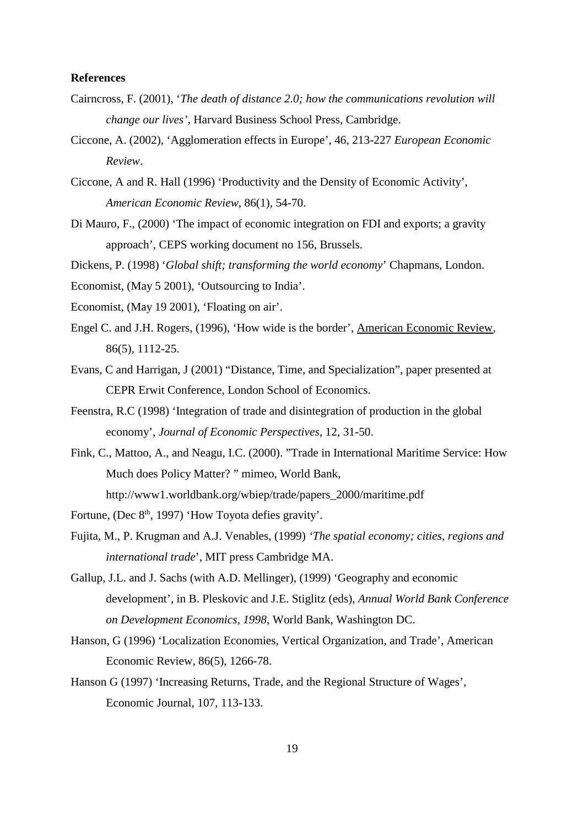#### **References**

- Cairncross, F. (2001), '*The death of distance 2.0; how the communications revolution will change our lives',* Harvard Business School Press, Cambridge.
- Ciccone, A. (2002), 'Agglomeration effects in Europe', 46, 213-227 *European Economic Review*.
- Ciccone, A and R. Hall (1996) 'Productivity and the Density of Economic Activity', *American Economic Review*, 86(1), 54-70.
- Di Mauro, F., (2000) 'The impact of economic integration on FDI and exports; a gravity approach', CEPS working document no 156, Brussels.

Dickens, P. (1998) '*Global shift; transforming the world economy*' Chapmans, London.

Economist, (May 5 2001), 'Outsourcing to India'.

- Economist, (May 19 2001), 'Floating on air'.
- Engel C. and J.H. Rogers, (1996), 'How wide is the border', American Economic Review, 86(5), 1112-25.
- Evans, C and Harrigan, J (2001) "Distance, Time, and Specialization", paper presented at CEPR Erwit Conference, London School of Economics.
- Feenstra, R.C (1998) 'Integration of trade and disintegration of production in the global economy', *Journal of Economic Perspectives*, 12, 31-50.
- Fink, C., Mattoo, A., and Neagu, I.C. (2000). "Trade in International Maritime Service: How Much does Policy Matter? " mimeo, World Bank,

http://www1.worldbank.org/wbiep/trade/papers\_2000/maritime.pdf

Fortune, (Dec  $8<sup>th</sup>$ , 1997) 'How Toyota defies gravity'.

- Fujita, M., P. Krugman and A.J. Venables, (1999) *'The spatial economy; cities, regions and international trade*', MIT press Cambridge MA.
- Gallup, J.L. and J. Sachs (with A.D. Mellinger), (1999) 'Geography and economic development', in B. Pleskovic and J.E. Stiglitz (eds), *Annual World Bank Conference on Development Economics, 1998*, World Bank, Washington DC.
- Hanson, G (1996) 'Localization Economies, Vertical Organization, and Trade', American Economic Review, 86(5), 1266-78.
- Hanson G (1997) 'Increasing Returns, Trade, and the Regional Structure of Wages', Economic Journal, 107, 113-133.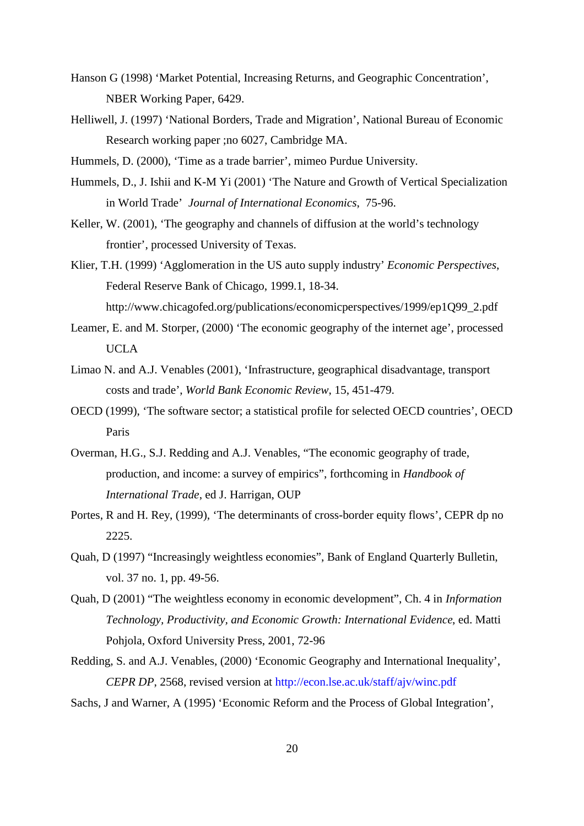- Hanson G (1998) 'Market Potential, Increasing Returns, and Geographic Concentration', NBER Working Paper, 6429.
- Helliwell, J. (1997) 'National Borders, Trade and Migration', National Bureau of Economic Research working paper ;no 6027, Cambridge MA.
- Hummels, D. (2000), 'Time as a trade barrier', mimeo Purdue University.
- Hummels, D., J. Ishii and K-M Yi (2001) 'The Nature and Growth of Vertical Specialization in World Trade' *Journal of International Economics*, 75-96.
- Keller, W. (2001), 'The geography and channels of diffusion at the world's technology frontier', processed University of Texas.
- Klier, T.H. (1999) 'Agglomeration in the US auto supply industry' *Economic Perspectives*, Federal Reserve Bank of Chicago, 1999.1, 18-34.

http://www.chicagofed.org/publications/economicperspectives/1999/ep1Q99\_2.pdf

- Leamer, E. and M. Storper, (2000) 'The economic geography of the internet age', processed UCLA
- Limao N. and A.J. Venables (2001), 'Infrastructure, geographical disadvantage, transport costs and trade', *World Bank Economic Review*, 15, 451-479.
- OECD (1999), 'The software sector; a statistical profile for selected OECD countries', OECD Paris
- Overman, H.G., S.J. Redding and A.J. Venables, "The economic geography of trade, production, and income: a survey of empirics", forthcoming in *Handbook of International Trade*, ed J. Harrigan, OUP
- Portes, R and H. Rey, (1999), 'The determinants of cross-border equity flows', CEPR dp no 2225.
- Quah, D (1997) "Increasingly weightless economies", Bank of England Quarterly Bulletin, vol. 37 no. 1, pp. 49-56.
- Quah, D (2001) "The weightless economy in economic development", Ch. 4 in *Information Technology, Productivity, and Economic Growth: International Evidence*, ed. Matti Pohjola, Oxford University Press, 2001, 72-96
- Redding, S. and A.J. Venables, (2000) 'Economic Geography and International Inequality', *CEPR DP*, 2568, revised version at http://econ.lse.ac.uk/staff/ajv/winc.pdf

Sachs, J and Warner, A (1995) 'Economic Reform and the Process of Global Integration',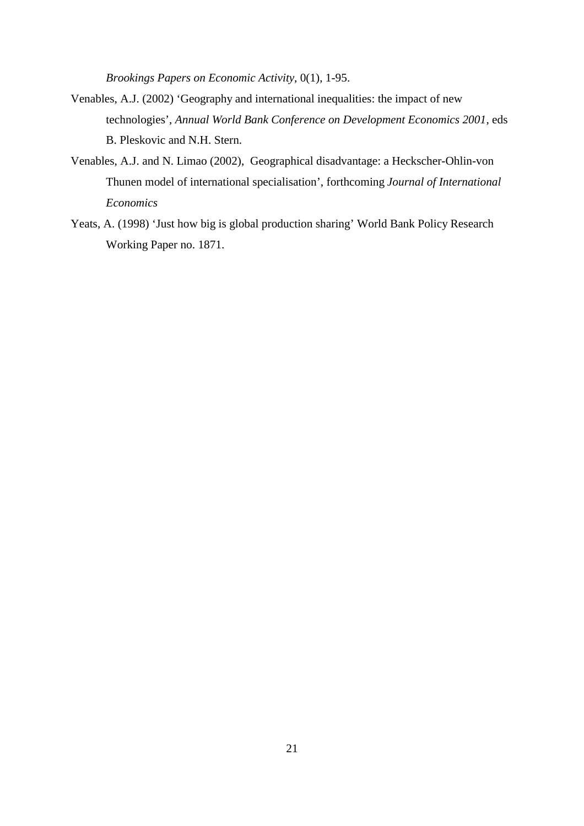*Brookings Papers on Economic Activity*, 0(1), 1-95.

- Venables, A.J. (2002) 'Geography and international inequalities: the impact of new technologies', *Annual World Bank Conference on Development Economics 2001*, eds B. Pleskovic and N.H. Stern.
- Venables, A.J. and N. Limao (2002), Geographical disadvantage: a Heckscher-Ohlin-von Thunen model of international specialisation', forthcoming *Journal of International Economics*
- Yeats, A. (1998) 'Just how big is global production sharing' World Bank Policy Research Working Paper no. 1871.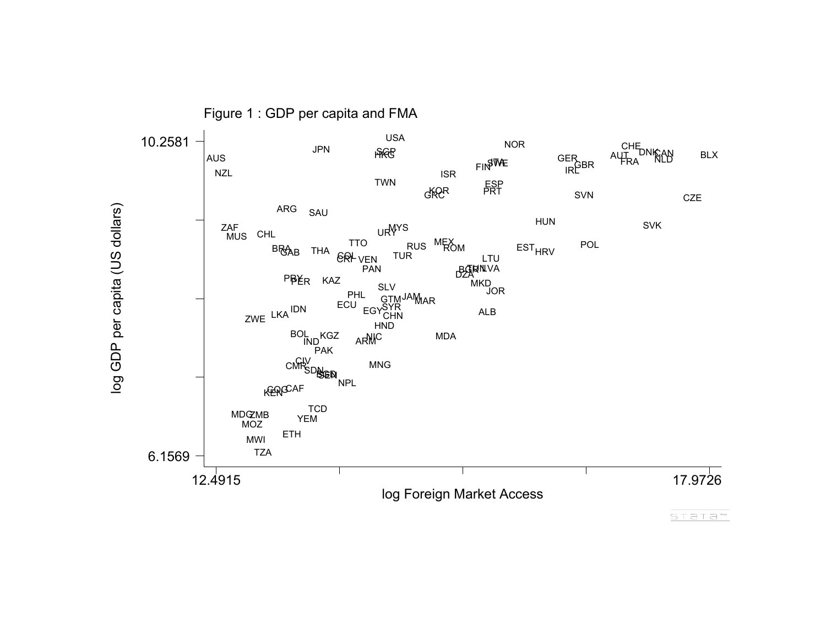

Figure 1 : GDP per capita and FMA

 $STATA<sup>m</sup>$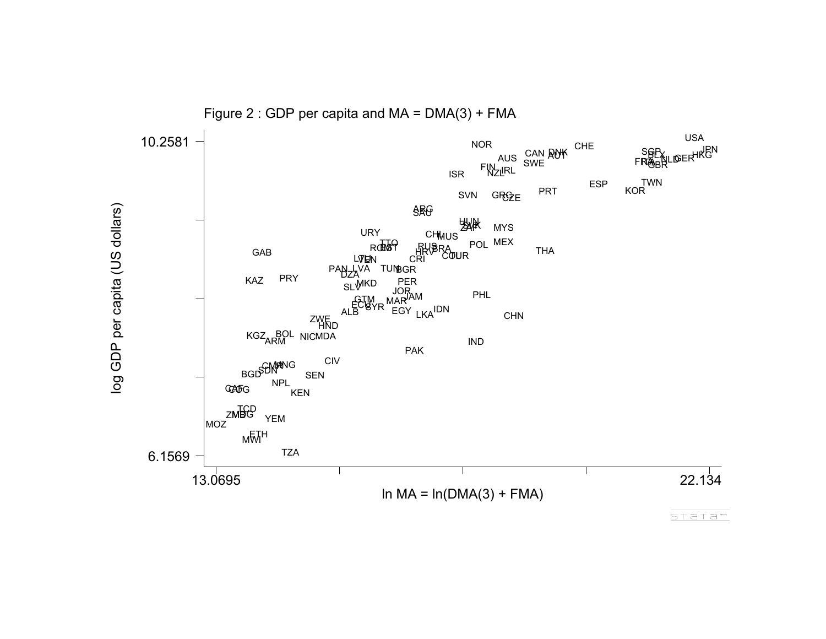